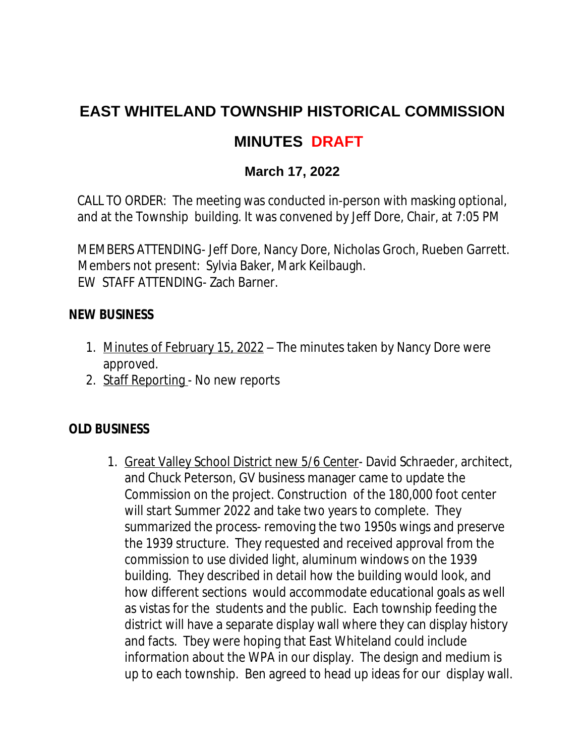# **EAST WHITELAND TOWNSHIP HISTORICAL COMMISSION**

## **MINUTES DRAFT**

### **March 17, 2022**

CALL TO ORDER: The meeting was conducted in-person with masking optional, and at the Township building. It was convened by Jeff Dore, Chair, at 7:05 PM

MEMBERS ATTENDING- Jeff Dore, Nancy Dore, Nicholas Groch, Rueben Garrett. Members not present: Sylvia Baker, Mark Keilbaugh. EW STAFF ATTENDING- Zach Barner.

#### **NEW BUSINESS**

- 1. Minutes of February 15, 2022 The minutes taken by Nancy Dore were approved.
- 2. Staff Reporting No new reports

#### **OLD BUSINESS**

1. Great Valley School District new *5/6 Center*- David Schraeder, architect, and Chuck Peterson, GV business manager came to update the Commission on the project. Construction of the 180,000 foot center will start Summer 2022 and take two years to complete. They summarized the process- removing the two 1950s wings and preserve the 1939 structure. They requested and received approval from the commission to use divided light, aluminum windows on the 1939 building. They described in detail how the building would look, and how different sections would accommodate educational goals as well as vistas for the students and the public. Each township feeding the district will have a separate display wall where they can display history and facts. Tbey were hoping that East Whiteland could include information about the WPA in our display. The design and medium is up to each township. Ben agreed to head up ideas for our display wall.